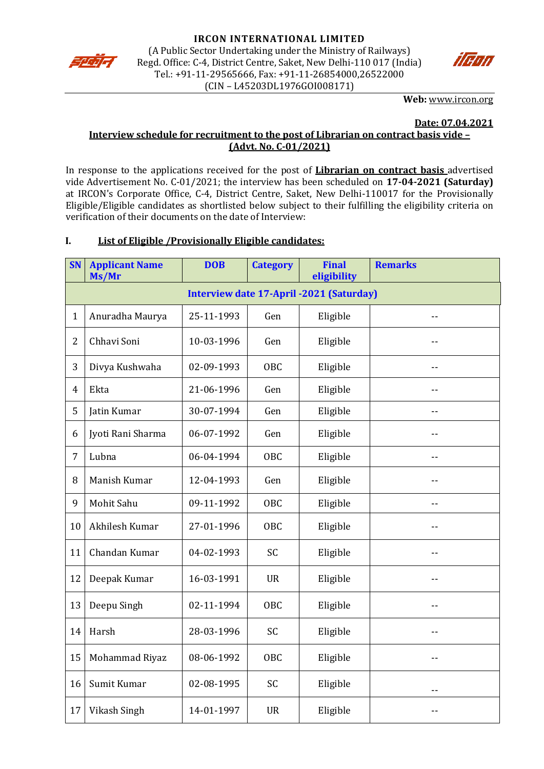



**Web:** [www.ircon.org](http://www.ircon.org/)

#### **Date: 07.04.2021**

# **Interview schedule for recruitment to the post of Librarian on contract basis vide – (Advt. No. C-01/2021)**

In response to the applications received for the post of **Librarian on contract basis** advertised vide Advertisement No. C-01/2021; the interview has been scheduled on **17-04-2021 (Saturday)** at IRCON's Corporate Office, C-4, District Centre, Saket, New Delhi-110017 for the Provisionally Eligible/Eligible candidates as shortlisted below subject to their fulfilling the eligibility criteria on verification of their documents on the date of Interview:

## **I. List of Eligible /Provisionally Eligible candidates:**

| <b>SN</b>      | <b>Applicant Name</b><br>Ms/Mr                  | <b>DOB</b> | <b>Category</b> | <b>Final</b><br>eligibility | <b>Remarks</b> |  |
|----------------|-------------------------------------------------|------------|-----------------|-----------------------------|----------------|--|
|                | <b>Interview date 17-April -2021 (Saturday)</b> |            |                 |                             |                |  |
| $\mathbf{1}$   | Anuradha Maurya                                 | 25-11-1993 | Gen             | Eligible                    |                |  |
| 2              | Chhavi Soni                                     | 10-03-1996 | Gen             | Eligible                    |                |  |
| 3              | Divya Kushwaha                                  | 02-09-1993 | OBC             | Eligible                    | $-1$           |  |
| $\overline{4}$ | Ekta                                            | 21-06-1996 | Gen             | Eligible                    | $-$            |  |
| 5              | Jatin Kumar                                     | 30-07-1994 | Gen             | Eligible                    | $=$            |  |
| 6              | Jyoti Rani Sharma                               | 06-07-1992 | Gen             | Eligible                    | --             |  |
| 7              | Lubna                                           | 06-04-1994 | <b>OBC</b>      | Eligible                    | $-$            |  |
| 8              | Manish Kumar                                    | 12-04-1993 | Gen             | Eligible                    | $-$            |  |
| 9              | Mohit Sahu                                      | 09-11-1992 | <b>OBC</b>      | Eligible                    | --             |  |
| 10             | Akhilesh Kumar                                  | 27-01-1996 | OBC             | Eligible                    |                |  |
| 11             | Chandan Kumar                                   | 04-02-1993 | <b>SC</b>       | Eligible                    | $-$            |  |
| 12             | Deepak Kumar                                    | 16-03-1991 | <b>UR</b>       | Eligible                    | $-$            |  |
| 13             | Deepu Singh                                     | 02-11-1994 | OBC             | Eligible                    | --             |  |
| 14             | Harsh                                           | 28-03-1996 | SC              | Eligible                    | --             |  |
| 15             | Mohammad Riyaz                                  | 08-06-1992 | OBC             | Eligible                    | --             |  |
| 16             | Sumit Kumar                                     | 02-08-1995 | SC              | Eligible                    |                |  |
| 17             | Vikash Singh                                    | 14-01-1997 | <b>UR</b>       | Eligible                    |                |  |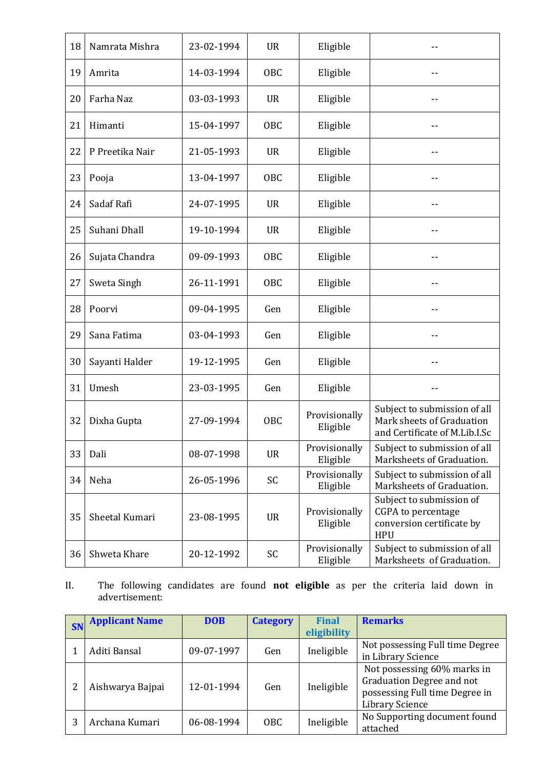| 18 | Namrata Mishra  | 23-02-1994 | <b>UR</b>  | Eligible                  |                                                                                            |
|----|-----------------|------------|------------|---------------------------|--------------------------------------------------------------------------------------------|
| 19 | Amrita          | 14-03-1994 | <b>OBC</b> | Eligible                  |                                                                                            |
| 20 | Farha Naz       | 03-03-1993 | <b>UR</b>  | Eligible                  |                                                                                            |
| 21 | Himanti         | 15-04-1997 | OBC        | Eligible                  |                                                                                            |
| 22 | P Preetika Nair | 21-05-1993 | <b>UR</b>  | Eligible                  |                                                                                            |
| 23 | Pooja           | 13-04-1997 | OBC        | Eligible                  | --                                                                                         |
| 24 | Sadaf Rafi      | 24-07-1995 | <b>UR</b>  | Eligible                  |                                                                                            |
| 25 | Suhani Dhall    | 19-10-1994 | <b>UR</b>  | Eligible                  | --                                                                                         |
| 26 | Sujata Chandra  | 09-09-1993 | OBC        | Eligible                  |                                                                                            |
| 27 | Sweta Singh     | 26-11-1991 | OBC        | Eligible                  |                                                                                            |
| 28 | Poorvi          | 09-04-1995 | Gen        | Eligible                  | --                                                                                         |
| 29 | Sana Fatima     | 03-04-1993 | Gen        | Eligible                  |                                                                                            |
| 30 | Sayanti Halder  | 19-12-1995 | Gen        | Eligible                  | --                                                                                         |
| 31 | Umesh           | 23-03-1995 | Gen        | Eligible                  |                                                                                            |
| 32 | Dixha Gupta     | 27-09-1994 | <b>OBC</b> | Provisionally<br>Eligible | Subject to submission of all<br>Mark sheets of Graduation<br>and Certificate of M.Lib.I.Sc |
| 33 | Dali            | 08-07-1998 | <b>UR</b>  | Provisionally<br>Eligible | Subject to submission of all<br>Marksheets of Graduation.                                  |
| 34 | Neha            | 26-05-1996 | SC         | Provisionally<br>Eligible | Subject to submission of all<br>Marksheets of Graduation.                                  |
| 35 | Sheetal Kumari  | 23-08-1995 | <b>UR</b>  | Provisionally<br>Eligible | Subject to submission of<br>CGPA to percentage<br>conversion certificate by<br><b>HPU</b>  |
| 36 | Shweta Khare    | 20-12-1992 | SC         | Provisionally<br>Eligible | Subject to submission of all<br>Marksheets of Graduation.                                  |

II. The following candidates are found **not eligible** as per the criteria laid down in advertisement:

| <b>SN</b> | <b>Applicant Name</b> | <b>DOB</b> | <b>Category</b> | <b>Final</b><br>eligibility | <b>Remarks</b>                                                                                                       |
|-----------|-----------------------|------------|-----------------|-----------------------------|----------------------------------------------------------------------------------------------------------------------|
|           | Aditi Bansal          | 09-07-1997 | Gen             | Ineligible                  | Not possessing Full time Degree<br>in Library Science                                                                |
|           | Aishwarya Bajpai      | 12-01-1994 | Gen             | Ineligible                  | Not possessing 60% marks in<br>Graduation Degree and not<br>possessing Full time Degree in<br><b>Library Science</b> |
|           | Archana Kumari        | 06-08-1994 | OBC.            | Ineligible                  | No Supporting document found<br>attached                                                                             |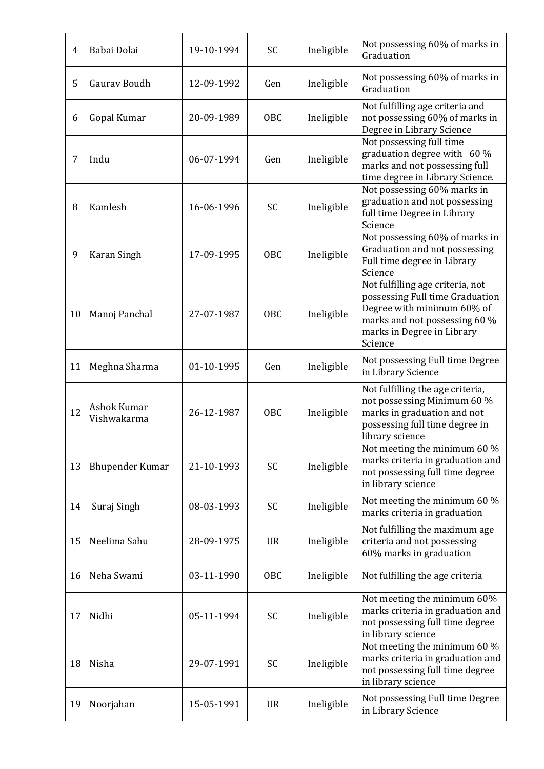| 4  | Babai Dolai                | 19-10-1994 | <b>SC</b>  | Ineligible | Not possessing 60% of marks in<br>Graduation                                                                                                                                |
|----|----------------------------|------------|------------|------------|-----------------------------------------------------------------------------------------------------------------------------------------------------------------------------|
| 5  | Gaurav Boudh               | 12-09-1992 | Gen        | Ineligible | Not possessing 60% of marks in<br>Graduation                                                                                                                                |
| 6  | Gopal Kumar                | 20-09-1989 | OBC        | Ineligible | Not fulfilling age criteria and<br>not possessing 60% of marks in<br>Degree in Library Science                                                                              |
| 7  | Indu                       | 06-07-1994 | Gen        | Ineligible | Not possessing full time<br>graduation degree with 60 %<br>marks and not possessing full<br>time degree in Library Science.                                                 |
| 8  | Kamlesh                    | 16-06-1996 | <b>SC</b>  | Ineligible | Not possessing 60% marks in<br>graduation and not possessing<br>full time Degree in Library<br>Science                                                                      |
| 9  | Karan Singh                | 17-09-1995 | OBC        | Ineligible | Not possessing 60% of marks in<br>Graduation and not possessing<br>Full time degree in Library<br>Science                                                                   |
| 10 | Manoj Panchal              | 27-07-1987 | <b>OBC</b> | Ineligible | Not fulfilling age criteria, not<br>possessing Full time Graduation<br>Degree with minimum 60% of<br>marks and not possessing 60 %<br>marks in Degree in Library<br>Science |
| 11 | Meghna Sharma              | 01-10-1995 | Gen        | Ineligible | Not possessing Full time Degree<br>in Library Science                                                                                                                       |
| 12 | Ashok Kumar<br>Vishwakarma | 26-12-1987 | <b>OBC</b> | Ineligible | Not fulfilling the age criteria,<br>not possessing Minimum 60 %<br>marks in graduation and not<br>possessing full time degree in<br>library science                         |
| 13 | <b>Bhupender Kumar</b>     | 21-10-1993 | SC         | Ineligible | Not meeting the minimum 60 %<br>marks criteria in graduation and<br>not possessing full time degree<br>in library science                                                   |
| 14 | Suraj Singh                | 08-03-1993 | SC         | Ineligible | Not meeting the minimum 60 %<br>marks criteria in graduation                                                                                                                |
| 15 | Neelima Sahu               | 28-09-1975 | <b>UR</b>  | Ineligible | Not fulfilling the maximum age<br>criteria and not possessing<br>60% marks in graduation                                                                                    |
| 16 | Neha Swami                 | 03-11-1990 | OBC        | Ineligible | Not fulfilling the age criteria                                                                                                                                             |
| 17 | Nidhi                      | 05-11-1994 | SC         | Ineligible | Not meeting the minimum 60%<br>marks criteria in graduation and<br>not possessing full time degree<br>in library science                                                    |
| 18 | Nisha                      | 29-07-1991 | SC         | Ineligible | Not meeting the minimum 60 %<br>marks criteria in graduation and<br>not possessing full time degree<br>in library science                                                   |
| 19 | Noorjahan                  | 15-05-1991 | <b>UR</b>  | Ineligible | Not possessing Full time Degree<br>in Library Science                                                                                                                       |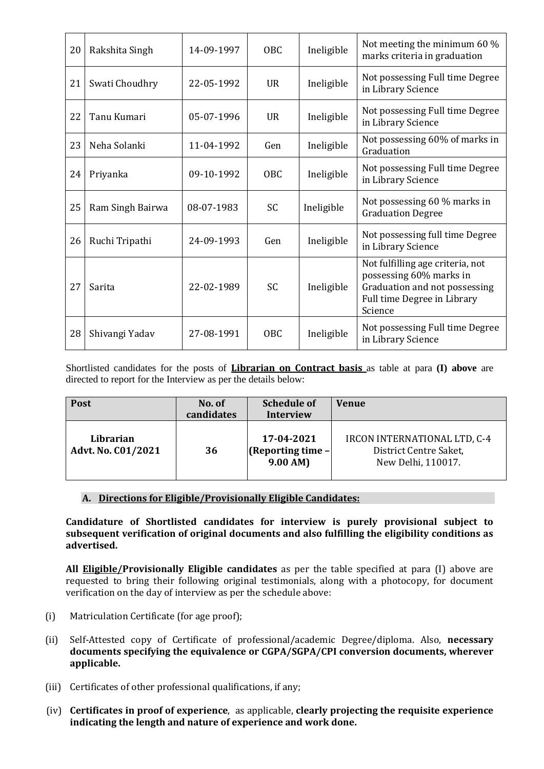| 20 | Rakshita Singh   | 14-09-1997 | OBC.            | Ineligible | Not meeting the minimum 60 %<br>marks criteria in graduation                                                                           |
|----|------------------|------------|-----------------|------------|----------------------------------------------------------------------------------------------------------------------------------------|
| 21 | Swati Choudhry   | 22-05-1992 | $_{\rm IIR}$    | Ineligible | Not possessing Full time Degree<br>in Library Science                                                                                  |
| 22 | Tanu Kumari      | 05-07-1996 | <b>UR</b>       | Ineligible | Not possessing Full time Degree<br>in Library Science                                                                                  |
| 23 | Neha Solanki     | 11-04-1992 | Gen             | Ineligible | Not possessing 60% of marks in<br>Graduation                                                                                           |
| 24 | Priyanka         | 09-10-1992 | <b>OBC</b>      | Ineligible | Not possessing Full time Degree<br>in Library Science                                                                                  |
| 25 | Ram Singh Bairwa | 08-07-1983 | <b>SC</b>       | Ineligible | Not possessing 60 % marks in<br><b>Graduation Degree</b>                                                                               |
| 26 | Ruchi Tripathi   | 24-09-1993 | Gen             | Ineligible | Not possessing full time Degree<br>in Library Science                                                                                  |
| 27 | Sarita           | 22-02-1989 | <b>SC</b>       | Ineligible | Not fulfilling age criteria, not<br>possessing 60% marks in<br>Graduation and not possessing<br>Full time Degree in Library<br>Science |
| 28 | Shivangi Yadav   | 27-08-1991 | OBC <sub></sub> | Ineligible | Not possessing Full time Degree<br>in Library Science                                                                                  |

Shortlisted candidates for the posts of **Librarian on Contract basis** as table at para **(I) above** are directed to report for the Interview as per the details below:

| Post                                   | No. of<br>candidates | <b>Schedule of</b><br><b>Interview</b>        | <b>Venue</b>                                                                 |
|----------------------------------------|----------------------|-----------------------------------------------|------------------------------------------------------------------------------|
| Librarian<br><b>Advt. No. C01/2021</b> | 36                   | 17-04-2021<br>$[Reporting time -]$<br>9.00 AM | IRCON INTERNATIONAL LTD, C-4<br>District Centre Saket,<br>New Delhi, 110017. |

## **A. Directions for Eligible/Provisionally Eligible Candidates:**

**Candidature of Shortlisted candidates for interview is purely provisional subject to subsequent verification of original documents and also fulfilling the eligibility conditions as advertised.** 

**All Eligible/Provisionally Eligible candidates** as per the table specified at para (I) above are requested to bring their following original testimonials, along with a photocopy, for document verification on the day of interview as per the schedule above:

- (i) Matriculation Certificate (for age proof);
- (ii) Self-Attested copy of Certificate of professional/academic Degree/diploma. Also, **necessary documents specifying the equivalence or CGPA/SGPA/CPI conversion documents, wherever applicable.**
- (iii) Certificates of other professional qualifications, if any;
- (iv) **Certificates in proof of experience**, as applicable, **clearly projecting the requisite experience indicating the length and nature of experience and work done.**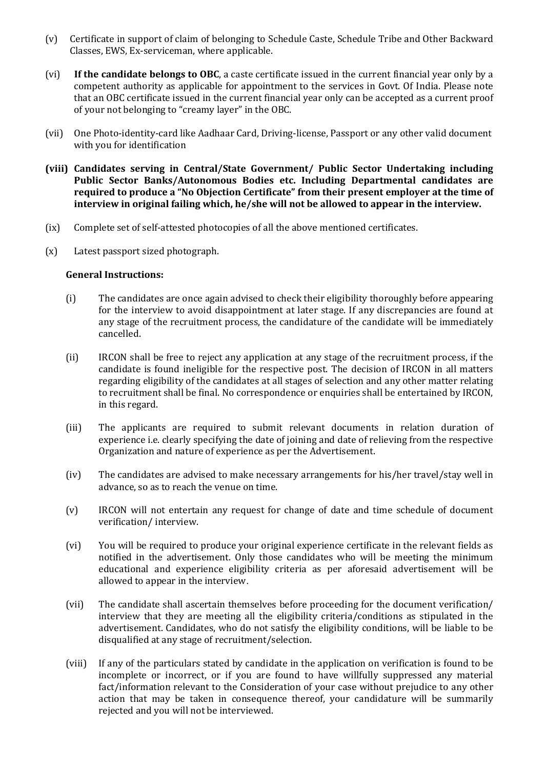- (v) Certificate in support of claim of belonging to Schedule Caste, Schedule Tribe and Other Backward Classes, EWS, Ex-serviceman, where applicable.
- (vi) **If the candidate belongs to OBC**, a caste certificate issued in the current financial year only by a competent authority as applicable for appointment to the services in Govt. Of India. Please note that an OBC certificate issued in the current financial year only can be accepted as a current proof of your not belonging to "creamy layer" in the OBC.
- (vii) One Photo-identity-card like Aadhaar Card, Driving-license, Passport or any other valid document with you for identification
- **(viii) Candidates serving in Central/State Government/ Public Sector Undertaking including Public Sector Banks/Autonomous Bodies etc. Including Departmental candidates are required to produce a "No Objection Certificate" from their present employer at the time of interview in original failing which, he/she will not be allowed to appear in the interview.**
- (ix) Complete set of self-attested photocopies of all the above mentioned certificates.
- (x) Latest passport sized photograph.

#### **General Instructions:**

- (i) The candidates are once again advised to check their eligibility thoroughly before appearing for the interview to avoid disappointment at later stage. If any discrepancies are found at any stage of the recruitment process, the candidature of the candidate will be immediately cancelled.
- (ii) IRCON shall be free to reject any application at any stage of the recruitment process, if the candidate is found ineligible for the respective post. The decision of IRCON in all matters regarding eligibility of the candidates at all stages of selection and any other matter relating to recruitment shall be final. No correspondence or enquiries shall be entertained by IRCON, in this regard.
- (iii) The applicants are required to submit relevant documents in relation duration of experience i.e. clearly specifying the date of joining and date of relieving from the respective Organization and nature of experience as per the Advertisement.
- (iv) The candidates are advised to make necessary arrangements for his/her travel/stay well in advance, so as to reach the venue on time.
- (v) IRCON will not entertain any request for change of date and time schedule of document verification/ interview.
- (vi) You will be required to produce your original experience certificate in the relevant fields as notified in the advertisement. Only those candidates who will be meeting the minimum educational and experience eligibility criteria as per aforesaid advertisement will be allowed to appear in the interview.
- (vii) The candidate shall ascertain themselves before proceeding for the document verification/ interview that they are meeting all the eligibility criteria/conditions as stipulated in the advertisement. Candidates, who do not satisfy the eligibility conditions, will be liable to be disqualified at any stage of recruitment/selection.
- (viii) If any of the particulars stated by candidate in the application on verification is found to be incomplete or incorrect, or if you are found to have willfully suppressed any material fact/information relevant to the Consideration of your case without prejudice to any other action that may be taken in consequence thereof, your candidature will be summarily rejected and you will not be interviewed.